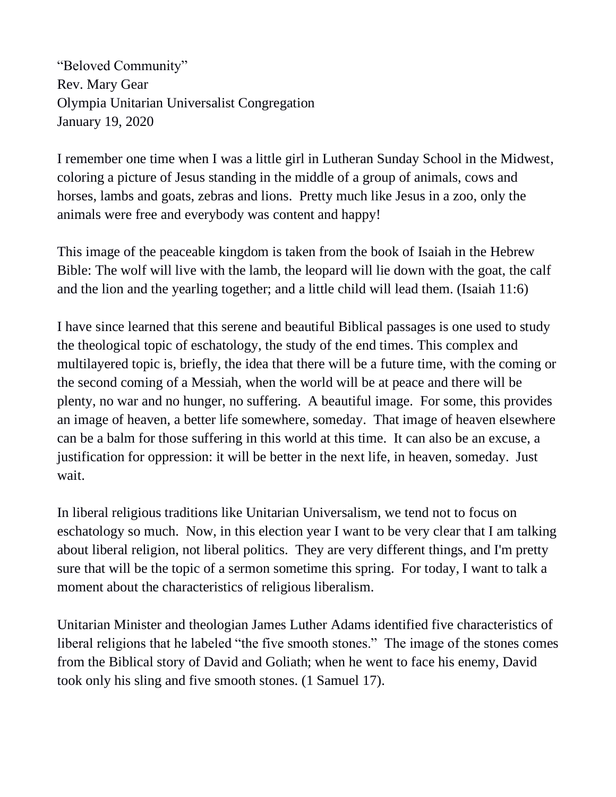"Beloved Community" Rev. Mary Gear Olympia Unitarian Universalist Congregation January 19, 2020

I remember one time when I was a little girl in Lutheran Sunday School in the Midwest, coloring a picture of Jesus standing in the middle of a group of animals, cows and horses, lambs and goats, zebras and lions. Pretty much like Jesus in a zoo, only the animals were free and everybody was content and happy!

This image of the peaceable kingdom is taken from the book of Isaiah in the Hebrew Bible: The wolf will live with the lamb, the leopard will lie down with the goat, the calf and the lion and the yearling together; and a little child will lead them. (Isaiah 11:6)

I have since learned that this serene and beautiful Biblical passages is one used to study the theological topic of eschatology, the study of the end times. This complex and multilayered topic is, briefly, the idea that there will be a future time, with the coming or the second coming of a Messiah, when the world will be at peace and there will be plenty, no war and no hunger, no suffering. A beautiful image. For some, this provides an image of heaven, a better life somewhere, someday. That image of heaven elsewhere can be a balm for those suffering in this world at this time. It can also be an excuse, a justification for oppression: it will be better in the next life, in heaven, someday. Just wait.

In liberal religious traditions like Unitarian Universalism, we tend not to focus on eschatology so much. Now, in this election year I want to be very clear that I am talking about liberal religion, not liberal politics. They are very different things, and I'm pretty sure that will be the topic of a sermon sometime this spring. For today, I want to talk a moment about the characteristics of religious liberalism.

Unitarian Minister and theologian James Luther Adams identified five characteristics of liberal religions that he labeled "the five smooth stones." The image of the stones comes from the Biblical story of David and Goliath; when he went to face his enemy, David took only his sling and five smooth stones. (1 Samuel 17).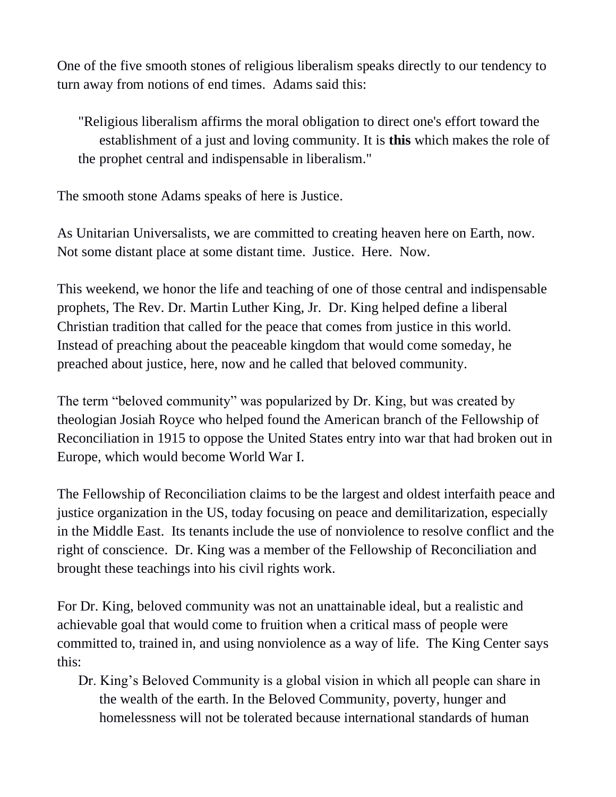One of the five smooth stones of religious liberalism speaks directly to our tendency to turn away from notions of end times. Adams said this:

"Religious liberalism affirms the moral obligation to direct one's effort toward the establishment of a just and loving community. It is **this** which makes the role of the prophet central and indispensable in liberalism."

The smooth stone Adams speaks of here is Justice.

As Unitarian Universalists, we are committed to creating heaven here on Earth, now. Not some distant place at some distant time. Justice. Here. Now.

This weekend, we honor the life and teaching of one of those central and indispensable prophets, The Rev. Dr. Martin Luther King, Jr. Dr. King helped define a liberal Christian tradition that called for the peace that comes from justice in this world. Instead of preaching about the peaceable kingdom that would come someday, he preached about justice, here, now and he called that beloved community.

The term "beloved community" was popularized by Dr. King, but was created by theologian Josiah Royce who helped found the American branch of the Fellowship of Reconciliation in 1915 to oppose the United States entry into war that had broken out in Europe, which would become World War I.

The Fellowship of Reconciliation claims to be the largest and oldest interfaith peace and justice organization in the US, today focusing on peace and demilitarization, especially in the Middle East. Its tenants include the use of nonviolence to resolve conflict and the right of conscience. Dr. King was a member of the Fellowship of Reconciliation and brought these teachings into his civil rights work.

For Dr. King, beloved community was not an unattainable ideal, but a realistic and achievable goal that would come to fruition when a critical mass of people were committed to, trained in, and using nonviolence as a way of life. The King Center says this:

Dr. King's Beloved Community is a global vision in which all people can share in the wealth of the earth. In the Beloved Community, poverty, hunger and homelessness will not be tolerated because international standards of human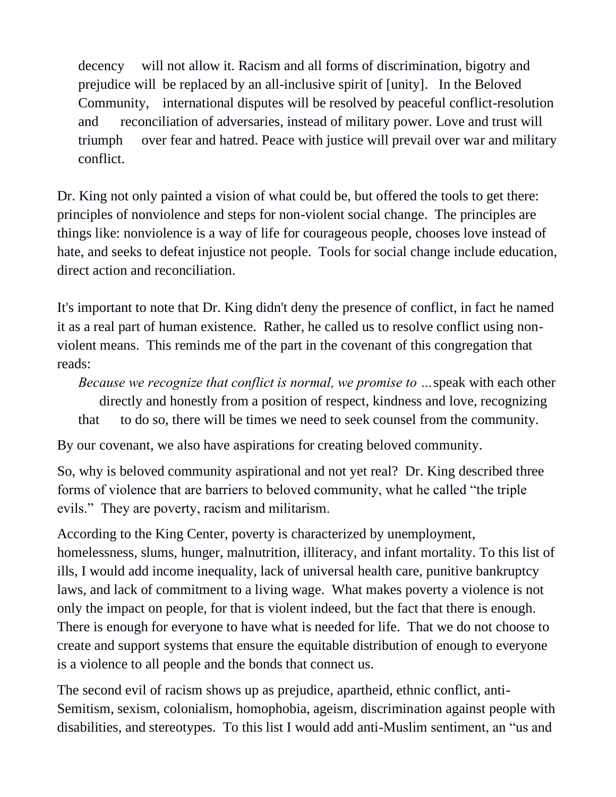decency will not allow it. Racism and all forms of discrimination, bigotry and prejudice will be replaced by an all-inclusive spirit of [unity]. In the Beloved Community, international disputes will be resolved by peaceful conflict-resolution and reconciliation of adversaries, instead of military power. Love and trust will triumph over fear and hatred. Peace with justice will prevail over war and military conflict.

Dr. King not only painted a vision of what could be, but offered the tools to get there: principles of nonviolence and steps for non-violent social change. The principles are things like: nonviolence is a way of life for courageous people, chooses love instead of hate, and seeks to defeat injustice not people. Tools for social change include education, direct action and reconciliation.

It's important to note that Dr. King didn't deny the presence of conflict, in fact he named it as a real part of human existence. Rather, he called us to resolve conflict using nonviolent means. This reminds me of the part in the covenant of this congregation that reads:

*Because we recognize that conflict is normal, we promise to …*speak with each other directly and honestly from a position of respect, kindness and love, recognizing that to do so, there will be times we need to seek counsel from the community.

By our covenant, we also have aspirations for creating beloved community.

So, why is beloved community aspirational and not yet real? Dr. King described three forms of violence that are barriers to beloved community, what he called "the triple evils." They are poverty, racism and militarism.

According to the King Center, poverty is characterized by unemployment, homelessness, slums, hunger, malnutrition, illiteracy, and infant mortality. To this list of ills, I would add income inequality, lack of universal health care, punitive bankruptcy laws, and lack of commitment to a living wage. What makes poverty a violence is not only the impact on people, for that is violent indeed, but the fact that there is enough. There is enough for everyone to have what is needed for life. That we do not choose to create and support systems that ensure the equitable distribution of enough to everyone is a violence to all people and the bonds that connect us.

The second evil of racism shows up as prejudice, apartheid, ethnic conflict, anti-Semitism, sexism, colonialism, homophobia, ageism, discrimination against people with disabilities, and stereotypes. To this list I would add anti-Muslim sentiment, an "us and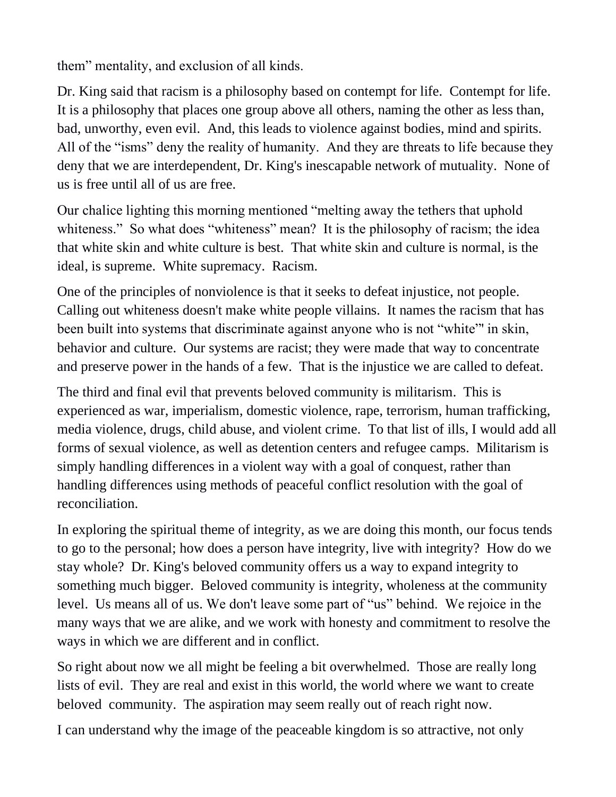them" mentality, and exclusion of all kinds.

Dr. King said that racism is a philosophy based on contempt for life. Contempt for life. It is a philosophy that places one group above all others, naming the other as less than, bad, unworthy, even evil. And, this leads to violence against bodies, mind and spirits. All of the "isms" deny the reality of humanity. And they are threats to life because they deny that we are interdependent, Dr. King's inescapable network of mutuality. None of us is free until all of us are free.

Our chalice lighting this morning mentioned "melting away the tethers that uphold whiteness." So what does "whiteness" mean? It is the philosophy of racism; the idea that white skin and white culture is best. That white skin and culture is normal, is the ideal, is supreme. White supremacy. Racism.

One of the principles of nonviolence is that it seeks to defeat injustice, not people. Calling out whiteness doesn't make white people villains. It names the racism that has been built into systems that discriminate against anyone who is not "white"' in skin, behavior and culture. Our systems are racist; they were made that way to concentrate and preserve power in the hands of a few. That is the injustice we are called to defeat.

The third and final evil that prevents beloved community is militarism. This is experienced as war, imperialism, domestic violence, rape, terrorism, human trafficking, media violence, drugs, child abuse, and violent crime. To that list of ills, I would add all forms of sexual violence, as well as detention centers and refugee camps. Militarism is simply handling differences in a violent way with a goal of conquest, rather than handling differences using methods of peaceful conflict resolution with the goal of reconciliation.

In exploring the spiritual theme of integrity, as we are doing this month, our focus tends to go to the personal; how does a person have integrity, live with integrity? How do we stay whole? Dr. King's beloved community offers us a way to expand integrity to something much bigger. Beloved community is integrity, wholeness at the community level. Us means all of us. We don't leave some part of "us" behind. We rejoice in the many ways that we are alike, and we work with honesty and commitment to resolve the ways in which we are different and in conflict.

So right about now we all might be feeling a bit overwhelmed. Those are really long lists of evil. They are real and exist in this world, the world where we want to create beloved community. The aspiration may seem really out of reach right now.

I can understand why the image of the peaceable kingdom is so attractive, not only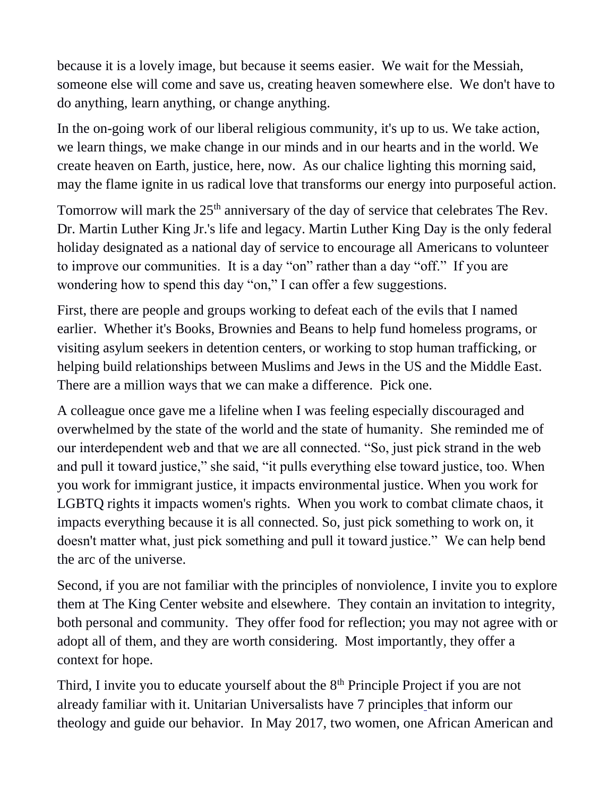because it is a lovely image, but because it seems easier. We wait for the Messiah, someone else will come and save us, creating heaven somewhere else. We don't have to do anything, learn anything, or change anything.

In the on-going work of our liberal religious community, it's up to us. We take action, we learn things, we make change in our minds and in our hearts and in the world. We create heaven on Earth, justice, here, now. As our chalice lighting this morning said, may the flame ignite in us radical love that transforms our energy into purposeful action.

Tomorrow will mark the 25<sup>th</sup> anniversary of the day of service that celebrates The Rev. Dr. Martin Luther King Jr.'s life and legacy. Martin Luther King Day is the only federal holiday designated as a national day of service to encourage all Americans to volunteer to improve our communities. It is a day "on" rather than a day "off." If you are wondering how to spend this day "on," I can offer a few suggestions.

First, there are people and groups working to defeat each of the evils that I named earlier. Whether it's Books, Brownies and Beans to help fund homeless programs, or visiting asylum seekers in detention centers, or working to stop human trafficking, or helping build relationships between Muslims and Jews in the US and the Middle East. There are a million ways that we can make a difference. Pick one.

A colleague once gave me a lifeline when I was feeling especially discouraged and overwhelmed by the state of the world and the state of humanity. She reminded me of our interdependent web and that we are all connected. "So, just pick strand in the web and pull it toward justice," she said, "it pulls everything else toward justice, too. When you work for immigrant justice, it impacts environmental justice. When you work for LGBTQ rights it impacts women's rights. When you work to combat climate chaos, it impacts everything because it is all connected. So, just pick something to work on, it doesn't matter what, just pick something and pull it toward justice." We can help bend the arc of the universe.

Second, if you are not familiar with the principles of nonviolence, I invite you to explore them at The King Center website and elsewhere. They contain an invitation to integrity, both personal and community. They offer food for reflection; you may not agree with or adopt all of them, and they are worth considering. Most importantly, they offer a context for hope.

Third, I invite you to educate yourself about the  $8<sup>th</sup>$  Principle Project if you are not already familiar with it. Unitarian Universalists have 7 principles [t](https://www.uua.org/beliefs/what-we-believe/principles)hat inform our theology and guide our behavior. In May 2017, two women, one African American and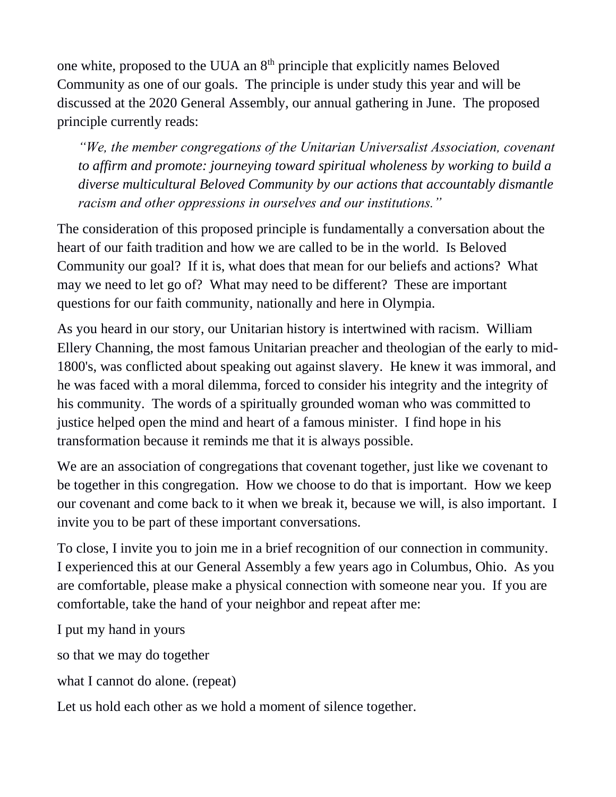one white, proposed to the UUA an 8th principle that explicitly names Beloved Community as one of our goals. The principle is under study this year and will be discussed at the 2020 General Assembly, our annual gathering in June. The proposed principle currently reads:

*"We, the member congregations of the Unitarian Universalist Association, covenant to affirm and promote: journeying toward spiritual wholeness by working to build a diverse multicultural Beloved Community by our actions that accountably dismantle racism and other oppressions in ourselves and our institutions."*

The consideration of this proposed principle is fundamentally a conversation about the heart of our faith tradition and how we are called to be in the world. Is Beloved Community our goal? If it is, what does that mean for our beliefs and actions? What may we need to let go of? What may need to be different? These are important questions for our faith community, nationally and here in Olympia.

As you heard in our story, our Unitarian history is intertwined with racism. William Ellery Channing, the most famous Unitarian preacher and theologian of the early to mid-1800's, was conflicted about speaking out against slavery. He knew it was immoral, and he was faced with a moral dilemma, forced to consider his integrity and the integrity of his community. The words of a spiritually grounded woman who was committed to justice helped open the mind and heart of a famous minister. I find hope in his transformation because it reminds me that it is always possible.

We are an association of congregations that covenant together, just like we covenant to be together in this congregation. How we choose to do that is important. How we keep our covenant and come back to it when we break it, because we will, is also important. I invite you to be part of these important conversations.

To close, I invite you to join me in a brief recognition of our connection in community. I experienced this at our General Assembly a few years ago in Columbus, Ohio. As you are comfortable, please make a physical connection with someone near you. If you are comfortable, take the hand of your neighbor and repeat after me:

I put my hand in yours

so that we may do together

what I cannot do alone. (repeat)

Let us hold each other as we hold a moment of silence together.